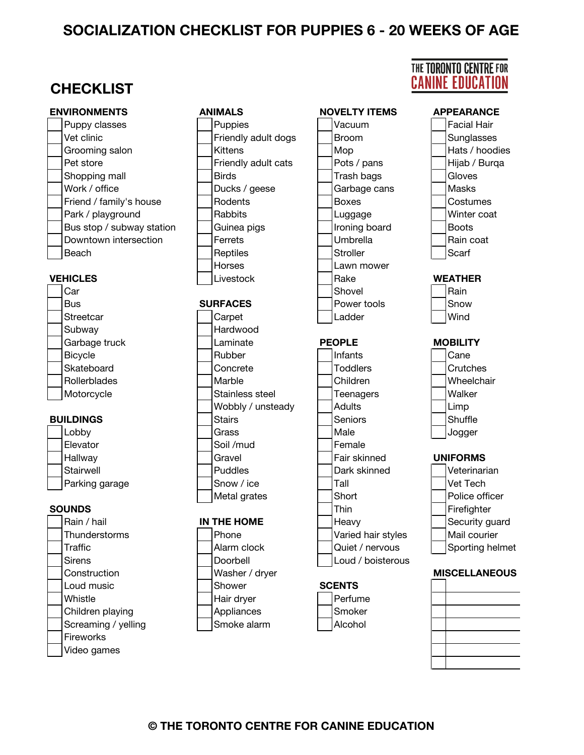#### **SOCIALIZATION CHECKLIST FOR PUPPIES 6 - 20 WEEKS OF AGE**